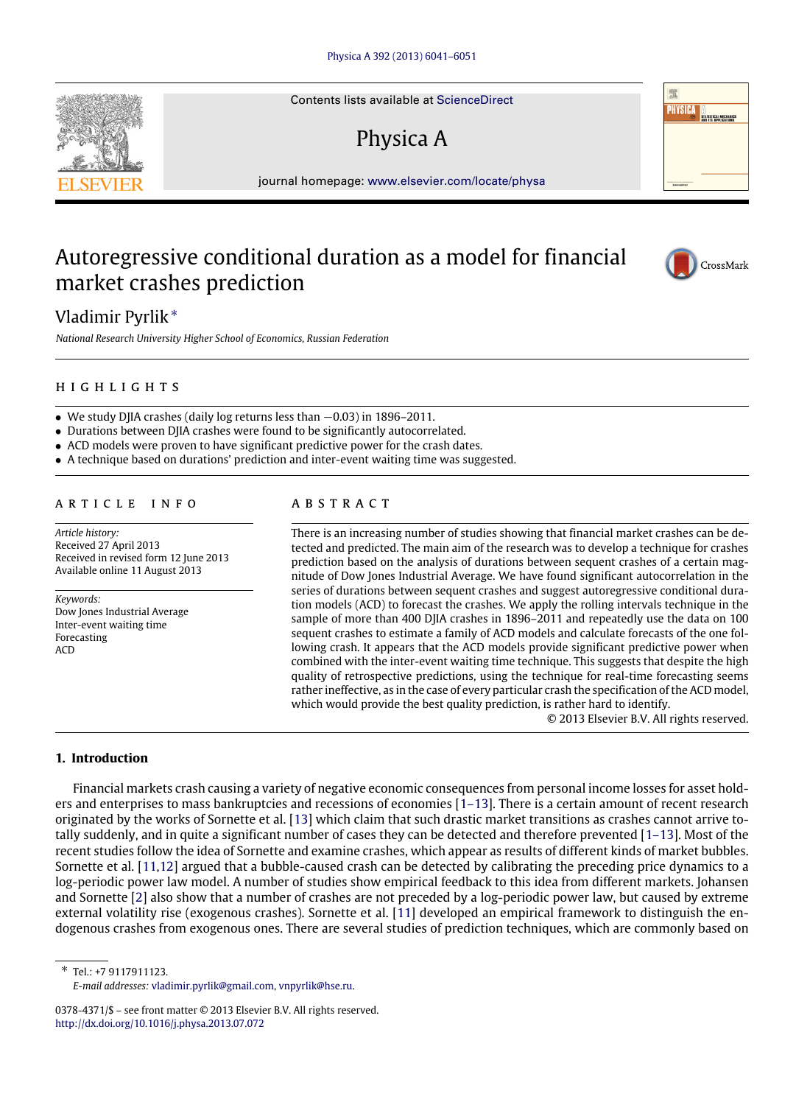Contents lists available at [ScienceDirect](http://www.elsevier.com/locate/physa)

# Physica A

journal homepage: [www.elsevier.com/locate/physa](http://www.elsevier.com/locate/physa)

## Autoregressive conditional duration as a model for financial market crashes prediction



*National Research University Higher School of Economics, Russian Federation*

### h i g h l i g h t s

- We study DIIA crashes (daily log returns less than  $-0.03$ ) in 1896–2011.
- Durations between DJIA crashes were found to be significantly autocorrelated.
- ACD models were proven to have significant predictive power for the crash dates.
- A technique based on durations' prediction and inter-event waiting time was suggested.

#### A R T I C L E I N F O

*Article history:* Received 27 April 2013 Received in revised form 12 June 2013 Available online 11 August 2013

*Keywords:* Dow Jones Industrial Average Inter-event waiting time Forecasting ACD

### a b s t r a c t

There is an increasing number of studies showing that financial market crashes can be detected and predicted. The main aim of the research was to develop a technique for crashes prediction based on the analysis of durations between sequent crashes of a certain magnitude of Dow Jones Industrial Average. We have found significant autocorrelation in the series of durations between sequent crashes and suggest autoregressive conditional duration models (ACD) to forecast the crashes. We apply the rolling intervals technique in the sample of more than 400 DJIA crashes in 1896–2011 and repeatedly use the data on 100 sequent crashes to estimate a family of ACD models and calculate forecasts of the one following crash. It appears that the ACD models provide significant predictive power when combined with the inter-event waiting time technique. This suggests that despite the high quality of retrospective predictions, using the technique for real-time forecasting seems rather ineffective, as in the case of every particular crash the specification of the ACD model, which would provide the best quality prediction, is rather hard to identify.

© 2013 Elsevier B.V. All rights reserved.

#### **1. Introduction**

Financial markets crash causing a variety of negative economic consequences from personal income losses for asset holders and enterprises to mass bankruptcies and recessions of economies [\[1–13\]](#page--1-0). There is a certain amount of recent research originated by the works of Sornette et al. [\[13\]](#page--1-1) which claim that such drastic market transitions as crashes cannot arrive totally suddenly, and in quite a significant number of cases they can be detected and therefore prevented [\[1–13\]](#page--1-0). Most of the recent studies follow the idea of Sornette and examine crashes, which appear as results of different kinds of market bubbles. Sornette et al. [\[11](#page--1-2)[,12\]](#page--1-3) argued that a bubble-caused crash can be detected by calibrating the preceding price dynamics to a log-periodic power law model. A number of studies show empirical feedback to this idea from different markets. Johansen and Sornette [\[2\]](#page--1-4) also show that a number of crashes are not preceded by a log-periodic power law, but caused by extreme external volatility rise (exogenous crashes). Sornette et al. [\[11\]](#page--1-2) developed an empirical framework to distinguish the endogenous crashes from exogenous ones. There are several studies of prediction techniques, which are commonly based on

<span id="page-0-0"></span>∗ Tel.: +7 9117911123. *E-mail addresses:* [vladimir.pyrlik@gmail.com,](mailto:vladimir.pyrlik@gmail.com) [vnpyrlik@hse.ru.](mailto:vnpyrlik@hse.ru)





CrossMark

<sup>0378-4371/\$ –</sup> see front matter © 2013 Elsevier B.V. All rights reserved. <http://dx.doi.org/10.1016/j.physa.2013.07.072>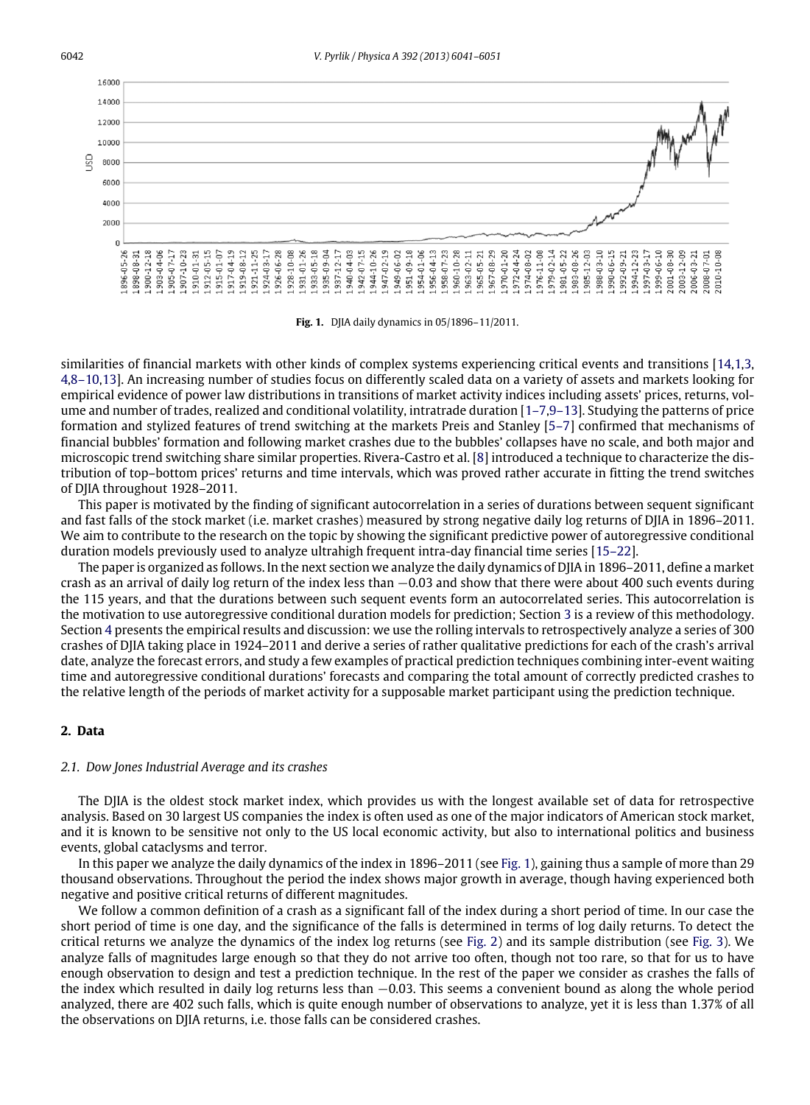<span id="page-1-0"></span>

**Fig. 1.** DJIA daily dynamics in 05/1896–11/2011.

similarities of financial markets with other kinds of complex systems experiencing critical events and transitions [\[14,](#page--1-5)[1](#page--1-0)[,3,](#page--1-6) [4,](#page--1-7)[8–10,](#page--1-8)[13\]](#page--1-1). An increasing number of studies focus on differently scaled data on a variety of assets and markets looking for empirical evidence of power law distributions in transitions of market activity indices including assets' prices, returns, volume and number of trades, realized and conditional volatility, intratrade duration [\[1–7](#page--1-0)[,9–13\]](#page--1-9). Studying the patterns of price formation and stylized features of trend switching at the markets Preis and Stanley [\[5–7\]](#page--1-10) confirmed that mechanisms of financial bubbles' formation and following market crashes due to the bubbles' collapses have no scale, and both major and microscopic trend switching share similar properties. Rivera-Castro et al. [\[8\]](#page--1-8) introduced a technique to characterize the distribution of top–bottom prices' returns and time intervals, which was proved rather accurate in fitting the trend switches of DJIA throughout 1928–2011.

This paper is motivated by the finding of significant autocorrelation in a series of durations between sequent significant and fast falls of the stock market (i.e. market crashes) measured by strong negative daily log returns of DJIA in 1896–2011. We aim to contribute to the research on the topic by showing the significant predictive power of autoregressive conditional duration models previously used to analyze ultrahigh frequent intra-day financial time series [\[15–22\]](#page--1-11).

The paper is organized as follows. In the next section we analyze the daily dynamics of DJIA in 1896–2011, define a market crash as an arrival of daily log return of the index less than −0.03 and show that there were about 400 such events during the 115 years, and that the durations between such sequent events form an autocorrelated series. This autocorrelation is the motivation to use autoregressive conditional duration models for prediction; Section [3](#page--1-12) is a review of this methodology. Section [4](#page--1-13) presents the empirical results and discussion: we use the rolling intervals to retrospectively analyze a series of 300 crashes of DJIA taking place in 1924–2011 and derive a series of rather qualitative predictions for each of the crash's arrival date, analyze the forecast errors, and study a few examples of practical prediction techniques combining inter-event waiting time and autoregressive conditional durations' forecasts and comparing the total amount of correctly predicted crashes to the relative length of the periods of market activity for a supposable market participant using the prediction technique.

#### **2. Data**

#### *2.1. Dow Jones Industrial Average and its crashes*

The DJIA is the oldest stock market index, which provides us with the longest available set of data for retrospective analysis. Based on 30 largest US companies the index is often used as one of the major indicators of American stock market, and it is known to be sensitive not only to the US local economic activity, but also to international politics and business events, global cataclysms and terror.

In this paper we analyze the daily dynamics of the index in 1896–2011 (see [Fig. 1\)](#page-1-0), gaining thus a sample of more than 29 thousand observations. Throughout the period the index shows major growth in average, though having experienced both negative and positive critical returns of different magnitudes.

We follow a common definition of a crash as a significant fall of the index during a short period of time. In our case the short period of time is one day, and the significance of the falls is determined in terms of log daily returns. To detect the critical returns we analyze the dynamics of the index log returns (see [Fig. 2\)](#page--1-14) and its sample distribution (see [Fig. 3\)](#page--1-15). We analyze falls of magnitudes large enough so that they do not arrive too often, though not too rare, so that for us to have enough observation to design and test a prediction technique. In the rest of the paper we consider as crashes the falls of the index which resulted in daily log returns less than −0.03. This seems a convenient bound as along the whole period analyzed, there are 402 such falls, which is quite enough number of observations to analyze, yet it is less than 1.37% of all the observations on DJIA returns, i.e. those falls can be considered crashes.